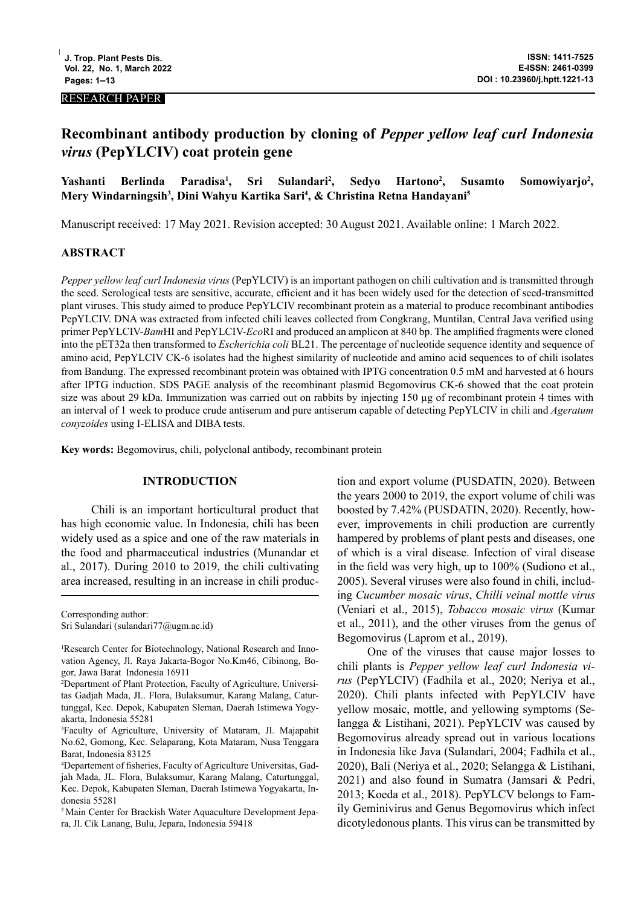#### RESEARCH PAPER

# **Recombinant antibody production by cloning of** *Pepper yellow leaf curl Indonesia virus* **(PepYLCIV) coat protein gene**

#### **Yashanti Berlinda Paradisa1 , Sri Sulandari2 , Sedyo Hartono2 , Susamto Somowiyarjo2 , Mery Windarningsih3 , Dini Wahyu Kartika Sari4 , & Christina Retna Handayani5**

Manuscript received: 17 May 2021. Revision accepted: 30 August 2021. Available online: 1 March 2022.

# **ABSTRACT**

*Pepper yellow leaf curl Indonesia virus* (PepYLCIV) is an important pathogen on chili cultivation and is transmitted through the seed. Serological tests are sensitive, accurate, efficient and it has been widely used for the detection of seed-transmitted plant viruses. This study aimed to produce PepYLCIV recombinant protein as a material to produce recombinant antibodies PepYLCIV. DNA was extracted from infected chili leaves collected from Congkrang, Muntilan, Central Java verified using primer PepYLCIV-*Bam*HI and PepYLCIV-*Eco*RI and produced an amplicon at 840 bp. The amplified fragments were cloned into the pET32a then transformed to *Escherichia coli* BL21. The percentage of nucleotide sequence identity and sequence of amino acid, PepYLCIV CK-6 isolates had the highest similarity of nucleotide and amino acid sequences to of chili isolates from Bandung. The expressed recombinant protein was obtained with IPTG concentration 0.5 mM and harvested at 6 hours after IPTG induction. SDS PAGE analysis of the recombinant plasmid Begomovirus CK-6 showed that the coat protein size was about 29 kDa. Immunization was carried out on rabbits by injecting 150 µg of recombinant protein 4 times with an interval of 1 week to produce crude antiserum and pure antiserum capable of detecting PepYLCIV in chili and *Ageratum conyzoides* using I-ELISA and DIBA tests.

**Key words:** Begomovirus, chili, polyclonal antibody, recombinant protein

# **INTRODUCTION**

Chili is an important horticultural product that has high economic value. In Indonesia, chili has been widely used as a spice and one of the raw materials in the food and pharmaceutical industries (Munandar et al., 2017). During 2010 to 2019, the chili cultivating area increased, resulting in an increase in chili produc-

Corresponding author:

Sri Sulandari (sulandari77@ugm.ac.id)

tion and export volume (PUSDATIN, 2020). Between the years 2000 to 2019, the export volume of chili was boosted by 7.42% (PUSDATIN, 2020). Recently, however, improvements in chili production are currently hampered by problems of plant pests and diseases, one of which is a viral disease. Infection of viral disease in the field was very high, up to 100% (Sudiono et al., 2005). Several viruses were also found in chili, including *Cucumber mosaic virus*, *Chilli veinal mottle virus* (Veniari et al., 2015), *Tobacco mosaic virus* (Kumar et al., 2011), and the other viruses from the genus of Begomovirus (Laprom et al., 2019).

One of the viruses that cause major losses to chili plants is *Pepper yellow leaf curl Indonesia virus* (PepYLCIV) (Fadhila et al., 2020; Neriya et al., 2020). Chili plants infected with PepYLCIV have yellow mosaic, mottle, and yellowing symptoms (Selangga & Listihani, 2021). PepYLCIV was caused by Begomovirus already spread out in various locations in Indonesia like Java (Sulandari, 2004; Fadhila et al., 2020), Bali (Neriya et al., 2020; Selangga & Listihani, 2021) and also found in Sumatra (Jamsari & Pedri, 2013; Koeda et al., 2018). PepYLCV belongs to Family Geminivirus and Genus Begomovirus which infect dicotyledonous plants. This virus can be transmitted by

<sup>&</sup>lt;sup>1</sup>Research Center for Biotechnology, National Research and Innovation Agency, Jl. Raya Jakarta-Bogor No.Km46, Cibinong, Bogor, Jawa Barat Indonesia 16911

<sup>2</sup> Department of Plant Protection, Faculty of Agriculture, Universitas Gadjah Mada, JL. Flora, Bulaksumur, Karang Malang, Caturtunggal, Kec. Depok, Kabupaten Sleman, Daerah Istimewa Yogyakarta, Indonesia 55281

<sup>3</sup> Faculty of Agriculture, University of Mataram, Jl. Majapahit No.62, Gomong, Kec. Selaparang, Kota Mataram, Nusa Tenggara Barat, Indonesia 83125

<sup>4</sup> Departement of fisheries, Faculty of Agriculture Universitas, Gadjah Mada, JL. Flora, Bulaksumur, Karang Malang, Caturtunggal, Kec. Depok, Kabupaten Sleman, Daerah Istimewa Yogyakarta, Indonesia 55281

<sup>&</sup>lt;sup>5</sup> Main Center for Brackish Water Aquaculture Development Jepara, Jl. Cik Lanang, Bulu, Jepara, Indonesia 59418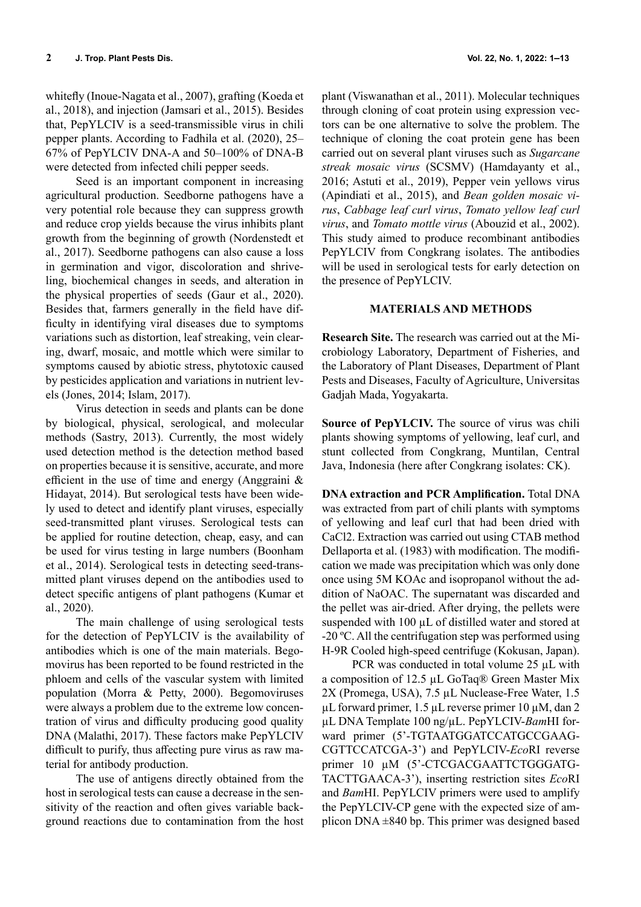whitefly (Inoue-Nagata et al., 2007), grafting (Koeda et al., 2018), and injection (Jamsari et al., 2015). Besides that, PepYLCIV is a seed-transmissible virus in chili pepper plants. According to Fadhila et al. (2020), 25– 67% of PepYLCIV DNA-A and 50–100% of DNA-B were detected from infected chili pepper seeds.

Seed is an important component in increasing agricultural production. Seedborne pathogens have a very potential role because they can suppress growth and reduce crop yields because the virus inhibits plant growth from the beginning of growth (Nordenstedt et al., 2017). Seedborne pathogens can also cause a loss in germination and vigor, discoloration and shriveling, biochemical changes in seeds, and alteration in the physical properties of seeds (Gaur et al., 2020). Besides that, farmers generally in the field have difficulty in identifying viral diseases due to symptoms variations such as distortion, leaf streaking, vein clearing, dwarf, mosaic, and mottle which were similar to symptoms caused by abiotic stress, phytotoxic caused by pesticides application and variations in nutrient levels (Jones, 2014; Islam, 2017).

Virus detection in seeds and plants can be done by biological, physical, serological, and molecular methods (Sastry, 2013). Currently, the most widely used detection method is the detection method based on properties because it is sensitive, accurate, and more efficient in the use of time and energy (Anggraini & Hidayat, 2014). But serological tests have been widely used to detect and identify plant viruses, especially seed-transmitted plant viruses. Serological tests can be applied for routine detection, cheap, easy, and can be used for virus testing in large numbers (Boonham et al., 2014). Serological tests in detecting seed-transmitted plant viruses depend on the antibodies used to detect specific antigens of plant pathogens (Kumar et al., 2020).

The main challenge of using serological tests for the detection of PepYLCIV is the availability of antibodies which is one of the main materials. Begomovirus has been reported to be found restricted in the phloem and cells of the vascular system with limited population (Morra & Petty, 2000). Begomoviruses were always a problem due to the extreme low concentration of virus and difficulty producing good quality DNA (Malathi, 2017). These factors make PepYLCIV difficult to purify, thus affecting pure virus as raw material for antibody production.

The use of antigens directly obtained from the host in serological tests can cause a decrease in the sensitivity of the reaction and often gives variable background reactions due to contamination from the host

plant (Viswanathan et al., 2011). Molecular techniques through cloning of coat protein using expression vectors can be one alternative to solve the problem. The technique of cloning the coat protein gene has been carried out on several plant viruses such as *Sugarcane streak mosaic virus* (SCSMV) (Hamdayanty et al., 2016; Astuti et al., 2019), Pepper vein yellows virus (Apindiati et al., 2015), and *Bean golden mosaic virus*, *Cabbage leaf curl virus*, *Tomato yellow leaf curl virus*, and *Tomato mottle virus* (Abouzid et al., 2002). This study aimed to produce recombinant antibodies PepYLCIV from Congkrang isolates. The antibodies will be used in serological tests for early detection on the presence of PepYLCIV.

### **MATERIALS AND METHODS**

**Research Site.** The research was carried out at the Microbiology Laboratory, Department of Fisheries, and the Laboratory of Plant Diseases, Department of Plant Pests and Diseases, Faculty of Agriculture, Universitas Gadjah Mada, Yogyakarta.

**Source of PepYLCIV.** The source of virus was chili plants showing symptoms of yellowing, leaf curl, and stunt collected from Congkrang, Muntilan, Central Java, Indonesia (here after Congkrang isolates: CK).

**DNA extraction and PCR Amplification.** Total DNA was extracted from part of chili plants with symptoms of yellowing and leaf curl that had been dried with CaCl2. Extraction was carried out using CTAB method Dellaporta et al. (1983) with modification. The modification we made was precipitation which was only done once using 5M KOAc and isopropanol without the addition of NaOAC. The supernatant was discarded and the pellet was air-dried. After drying, the pellets were suspended with 100 µL of distilled water and stored at -20 ºC. All the centrifugation step was performed using H-9R Cooled high-speed centrifuge (Kokusan, Japan).

PCR was conducted in total volume 25 µL with a composition of 12.5 µL GoTaq® Green Master Mix 2X (Promega, USA), 7.5 µL Nuclease-Free Water, 1.5 µL forward primer, 1.5 µL reverse primer 10 µM, dan 2 µL DNA Template 100 ng/µL. PepYLCIV-*Bam*HI forward primer (5'-TGTAATGGATCCATGCCGAAG-CGTTCCATCGA-3') and PepYLCIV-*Eco*RI reverse primer 10 µM (5'-CTCGACGAATTCTGGGATG-TACTTGAACA-3'), inserting restriction sites *Eco*RI and *Bam*HI. PepYLCIV primers were used to amplify the PepYLCIV-CP gene with the expected size of amplicon DNA  $\pm 840$  bp. This primer was designed based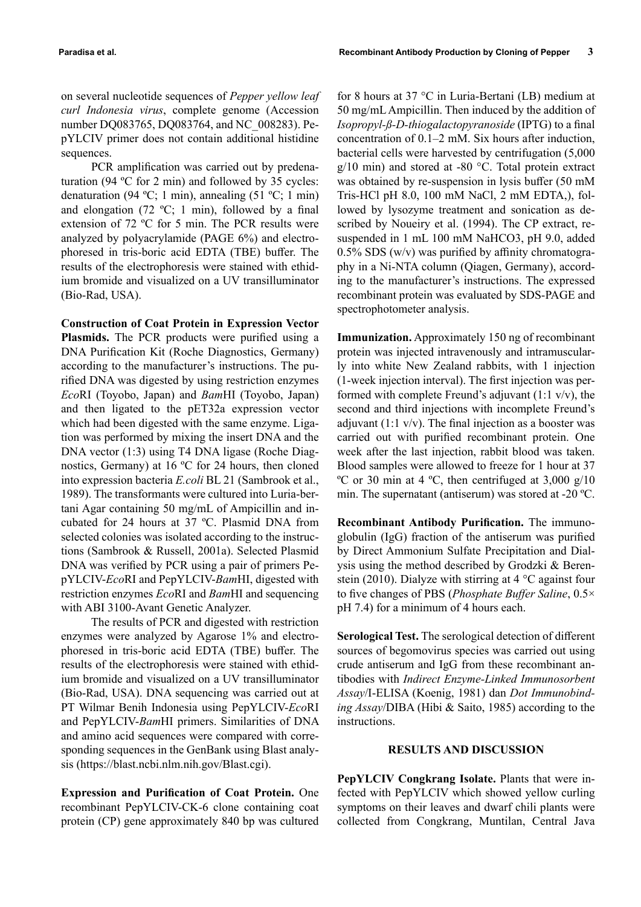on several nucleotide sequences of *Pepper yellow leaf curl Indonesia virus*, complete genome (Accession number DQ083765, DQ083764, and NC\_008283). PepYLCIV primer does not contain additional histidine sequences.

PCR amplification was carried out by predenaturation (94 ºC for 2 min) and followed by 35 cycles: denaturation (94 °C; 1 min), annealing (51 °C; 1 min) and elongation (72 °C; 1 min), followed by a final extension of 72 ºC for 5 min. The PCR results were analyzed by polyacrylamide (PAGE 6%) and electrophoresed in tris-boric acid EDTA (TBE) buffer. The results of the electrophoresis were stained with ethidium bromide and visualized on a UV transilluminator (Bio-Rad, USA).

**Construction of Coat Protein in Expression Vector Plasmids.** The PCR products were purified using a DNA Purification Kit (Roche Diagnostics, Germany) according to the manufacturer's instructions. The purified DNA was digested by using restriction enzymes *Eco*RI (Toyobo, Japan) and *Bam*HI (Toyobo, Japan) and then ligated to the pET32a expression vector which had been digested with the same enzyme. Ligation was performed by mixing the insert DNA and the DNA vector (1:3) using T4 DNA ligase (Roche Diagnostics, Germany) at 16 ºC for 24 hours, then cloned into expression bacteria *E.coli* BL 21 (Sambrook et al., 1989). The transformants were cultured into Luria-bertani Agar containing 50 mg/mL of Ampicillin and incubated for 24 hours at 37 ºC. Plasmid DNA from selected colonies was isolated according to the instructions (Sambrook & Russell, 2001a). Selected Plasmid DNA was verified by PCR using a pair of primers PepYLCIV-*Eco*RI and PepYLCIV-*Bam*HI, digested with restriction enzymes *Eco*RI and *Bam*HI and sequencing with ABI 3100-Avant Genetic Analyzer.

The results of PCR and digested with restriction enzymes were analyzed by Agarose 1% and electrophoresed in tris-boric acid EDTA (TBE) buffer. The results of the electrophoresis were stained with ethidium bromide and visualized on a UV transilluminator (Bio-Rad, USA). DNA sequencing was carried out at PT Wilmar Benih Indonesia using PepYLCIV-*Eco*RI and PepYLCIV-*Bam*HI primers. Similarities of DNA and amino acid sequences were compared with corresponding sequences in the GenBank using Blast analysis (https://blast.ncbi.nlm.nih.gov/Blast.cgi).

**Expression and Purification of Coat Protein.** One recombinant PepYLCIV-CK-6 clone containing coat protein (CP) gene approximately 840 bp was cultured

for 8 hours at 37 °C in Luria-Bertani (LB) medium at 50 mg/mL Ampicillin. Then induced by the addition of *Isopropyl-ß-D-thiogalactopyranoside* (IPTG) to a final concentration of 0.1–2 mM. Six hours after induction, bacterial cells were harvested by centrifugation (5,000  $g/10$  min) and stored at -80 °C. Total protein extract was obtained by re-suspension in lysis buffer (50 mM Tris-HCl pH 8.0, 100 mM NaCl, 2 mM EDTA,), followed by lysozyme treatment and sonication as described by Noueiry et al. (1994). The CP extract, resuspended in 1 mL 100 mM NaHCO3, pH 9.0, added  $0.5\%$  SDS (w/v) was purified by affinity chromatography in a Ni-NTA column (Qiagen, Germany), according to the manufacturer's instructions. The expressed recombinant protein was evaluated by SDS-PAGE and spectrophotometer analysis.

**Immunization.** Approximately 150 ng of recombinant protein was injected intravenously and intramuscularly into white New Zealand rabbits, with 1 injection (1-week injection interval). The first injection was performed with complete Freund's adjuvant  $(1:1 \text{ v/v})$ , the second and third injections with incomplete Freund's adjuvant  $(1:1 \text{ v/v})$ . The final injection as a booster was carried out with purified recombinant protein. One week after the last injection, rabbit blood was taken. Blood samples were allowed to freeze for 1 hour at 37 <sup>o</sup>C or 30 min at 4 <sup>o</sup>C, then centrifuged at 3,000 g/10 min. The supernatant (antiserum) was stored at -20 ºC.

**Recombinant Antibody Purification.** The immunoglobulin (IgG) fraction of the antiserum was purified by Direct Ammonium Sulfate Precipitation and Dialysis using the method described by Grodzki & Berenstein (2010). Dialyze with stirring at  $4^{\circ}$ C against four to five changes of PBS (*Phosphate Buffer Saline*, 0.5× pH 7.4) for a minimum of 4 hours each.

**Serological Test.** The serological detection of different sources of begomovirus species was carried out using crude antiserum and IgG from these recombinant antibodies with *Indirect Enzyme-Linked Immunosorbent Assay*/I-ELISA (Koenig, 1981) dan *Dot Immunobinding Assay*/DIBA (Hibi & Saito, 1985) according to the instructions.

#### **RESULTS AND DISCUSSION**

**PepYLCIV Congkrang Isolate.** Plants that were infected with PepYLCIV which showed yellow curling symptoms on their leaves and dwarf chili plants were collected from Congkrang, Muntilan, Central Java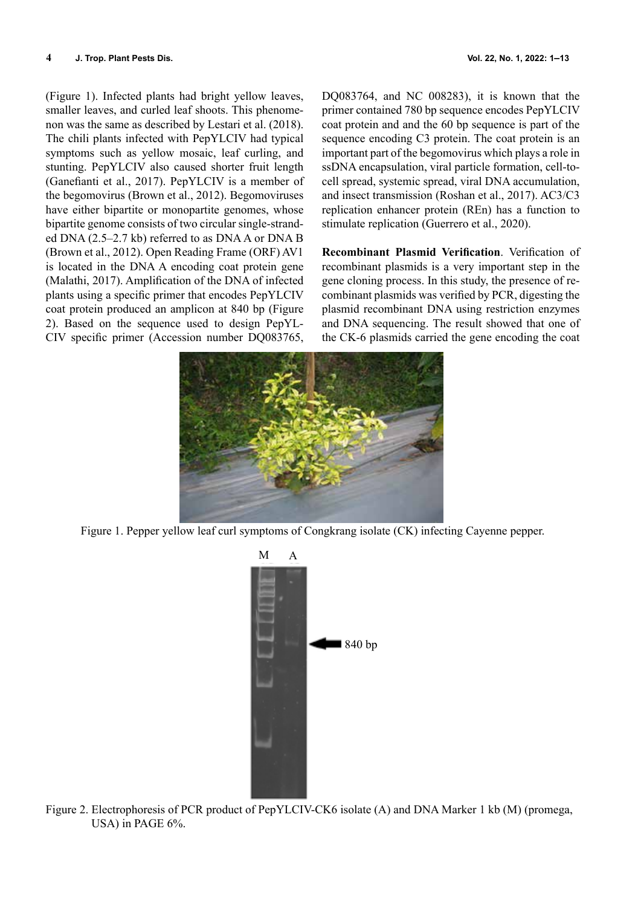(Figure 1). Infected plants had bright yellow leaves, smaller leaves, and curled leaf shoots. This phenomenon was the same as described by Lestari et al. (2018). The chili plants infected with PepYLCIV had typical symptoms such as yellow mosaic, leaf curling, and stunting. PepYLCIV also caused shorter fruit length (Ganefianti et al., 2017). PepYLCIV is a member of the begomovirus (Brown et al., 2012). Begomoviruses have either bipartite or monopartite genomes, whose bipartite genome consists of two circular single-stranded DNA (2.5–2.7 kb) referred to as DNA A or DNA B (Brown et al., 2012). Open Reading Frame (ORF) AV1 is located in the DNA A encoding coat protein gene (Malathi, 2017). Amplification of the DNA of infected plants using a specific primer that encodes PepYLCIV coat protein produced an amplicon at 840 bp (Figure 2). Based on the sequence used to design PepYL-CIV specific primer (Accession number DQ083765,

DQ083764, and NC 008283), it is known that the primer contained 780 bp sequence encodes PepYLCIV coat protein and and the 60 bp sequence is part of the sequence encoding C3 protein. The coat protein is an important part of the begomovirus which plays a role in ssDNA encapsulation, viral particle formation, cell-tocell spread, systemic spread, viral DNA accumulation, and insect transmission (Roshan et al., 2017). AC3/C3 replication enhancer protein (REn) has a function to stimulate replication (Guerrero et al., 2020).

**Recombinant Plasmid Verification**. Verification of recombinant plasmids is a very important step in the gene cloning process. In this study, the presence of recombinant plasmids was verified by PCR, digesting the plasmid recombinant DNA using restriction enzymes and DNA sequencing. The result showed that one of the CK-6 plasmids carried the gene encoding the coat



Figure 1. Pepper yellow leaf curl symptoms of Congkrang isolate (CK) infecting Cayenne pepper.



Figure 2. Electrophoresis of PCR product of PepYLCIV-CK6 isolate (A) and DNA Marker 1 kb (M) (promega, USA) in PAGE 6%.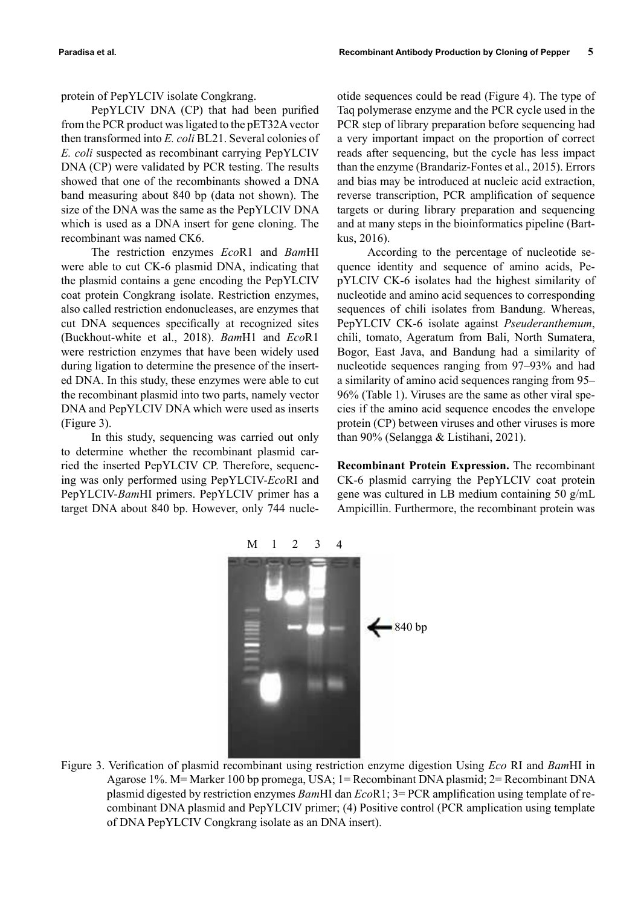protein of PepYLCIV isolate Congkrang.

PepYLCIV DNA (CP) that had been purified from the PCR product was ligated to the pET32A vector then transformed into *E. coli* BL21. Several colonies of *E. coli* suspected as recombinant carrying PepYLCIV DNA (CP) were validated by PCR testing. The results showed that one of the recombinants showed a DNA band measuring about 840 bp (data not shown). The size of the DNA was the same as the PepYLCIV DNA which is used as a DNA insert for gene cloning. The recombinant was named CK6.

The restriction enzymes *Eco*R1 and *Bam*HI were able to cut CK-6 plasmid DNA, indicating that the plasmid contains a gene encoding the PepYLCIV coat protein Congkrang isolate. Restriction enzymes, also called restriction endonucleases, are enzymes that cut DNA sequences specifically at recognized sites (Buckhout-white et al., 2018). *Bam*H1 and *Eco*R1 were restriction enzymes that have been widely used during ligation to determine the presence of the inserted DNA. In this study, these enzymes were able to cut the recombinant plasmid into two parts, namely vector DNA and PepYLCIV DNA which were used as inserts (Figure 3).

In this study, sequencing was carried out only to determine whether the recombinant plasmid carried the inserted PepYLCIV CP. Therefore, sequencing was only performed using PepYLCIV-*Eco*RI and PepYLCIV-*Bam*HI primers. PepYLCIV primer has a target DNA about 840 bp. However, only 744 nucle-

otide sequences could be read (Figure 4). The type of Taq polymerase enzyme and the PCR cycle used in the PCR step of library preparation before sequencing had a very important impact on the proportion of correct reads after sequencing, but the cycle has less impact than the enzyme (Brandariz-Fontes et al., 2015). Errors and bias may be introduced at nucleic acid extraction, reverse transcription, PCR amplification of sequence targets or during library preparation and sequencing and at many steps in the bioinformatics pipeline (Bartkus, 2016).

According to the percentage of nucleotide sequence identity and sequence of amino acids, PepYLCIV CK-6 isolates had the highest similarity of nucleotide and amino acid sequences to corresponding sequences of chili isolates from Bandung. Whereas, PepYLCIV CK-6 isolate against *Pseuderanthemum*, chili, tomato, Ageratum from Bali, North Sumatera, Bogor, East Java, and Bandung had a similarity of nucleotide sequences ranging from 97–93% and had a similarity of amino acid sequences ranging from 95– 96% (Table 1). Viruses are the same as other viral species if the amino acid sequence encodes the envelope protein (CP) between viruses and other viruses is more than 90% (Selangga & Listihani, 2021).

**Recombinant Protein Expression.** The recombinant CK-6 plasmid carrying the PepYLCIV coat protein gene was cultured in LB medium containing 50 g/mL Ampicillin. Furthermore, the recombinant protein was



Figure 3. Verification of plasmid recombinant using restriction enzyme digestion Using *Eco* RI and *Bam*HI in Agarose 1%. M= Marker 100 bp promega, USA; 1= Recombinant DNA plasmid; 2= Recombinant DNA plasmid digested by restriction enzymes *Bam*HI dan *Eco*R1; 3= PCR amplification using template of recombinant DNA plasmid and PepYLCIV primer; (4) Positive control (PCR amplication using template of DNA PepYLCIV Congkrang isolate as an DNA insert).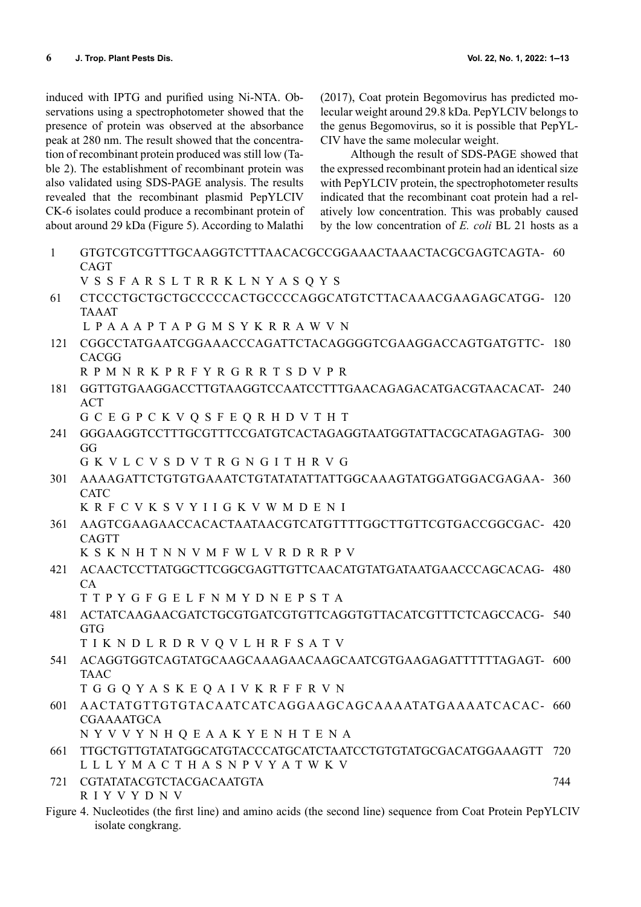induced with IPTG and purified using Ni-NTA. Observations using a spectrophotometer showed that the presence of protein was observed at the absorbance peak at 280 nm. The result showed that the concentration of recombinant protein produced was still low (Table 2). The establishment of recombinant protein was also validated using SDS-PAGE analysis. The results revealed that the recombinant plasmid PepYLCIV CK-6 isolates could produce a recombinant protein of about around 29 kDa (Figure 5). According to Malathi (2017), Coat protein Begomovirus has predicted molecular weight around 29.8 kDa. PepYLCIV belongs to the genus Begomovirus, so it is possible that PepYL-CIV have the same molecular weight.

Although the result of SDS-PAGE showed that the expressed recombinant protein had an identical size with PepYLCIV protein, the spectrophotometer results indicated that the recombinant coat protein had a relatively low concentration. This was probably caused by the low concentration of *E. coli* BL 21 hosts as a

1 GTGTCGTCGTTTGCAAGGTCTTTAACACGCCGGAAACTAAACTACGCGAGTCAGTA-60 CAGT V S S F A R S L T R R K L N Y A S Q Y S 61 CTCCCTGCTGCTGCCCCCACTGCCCCAGGCATGTCTTACAAACGAAGAGCATGG-120 TAAAT L P A A A P T A P G M S Y K R R A W V N 121 CGGCCTATGAATCGGAAACCCAGATTCTACAGGGGTCGAAGGACCAGTGATGTTC-180 **CACGG** R P M N R K P R F Y R G R R T S D V P R 181 GGTTGTGAAGGACCTTGTAAGGTCCAATCCTTTGAACAGAGACATGACGTAACACAT-240 ACT G C E G P C K V Q S F E Q R H D V T H T 241 GGGAAGGTCCTTTGCGTTTCCGATGTCACTAGAGGTAATGGTATTACGCATAGAGTAG-300 GG G K V L C V S D V T R G N G I T H R V G 301 AAAAGATTCTGTGTGAAATCTGTATATATTATTGGCAAAGTATGGATGGACGAGAA-360 CATC K R F C V K S V Y I I G K V W M D E N I 361 AAGTCGAAGAACCACACTAATAACGTCATGTTTTGGCTTGTTCGTGACCGGCGAC-420 CAGTT K S K N H T N N V M F W L V R D R R P V 421 ACAACTCCTTATGGCTTCGGCGAGTTGTTCAACATGTATGATAATGAACCCAGCACAG-480 CA T T P Y G F G E L F N M Y D N E P S T A 481 ACTATCAAGAACGATCTGCGTGATCGTGTTCAGGTGTTACATCGTTTCTCAGCCACG-540 GTG T I K N D L R D R V Q V L H R F S A T V 541 ACAGGTGGTCAGTATGCAAGCAAAGAACAAGCAATCGTGAAGAGATTTTTTAGAGT-600 TAAC T G G Q Y A S K E Q A I V K R F F R V N 601 AACTATGTTGTGTACAATCATCAGGAAGCAGCAAAATATGAAAATCACAC-660 CGAAAATGCA N Y V V Y N H Q E A A K Y E N H T E N A 661 TTGCTGTTGTATATGGCATGTACCCATGCATCTAATCCTGTGTATGCGACATGGAAAGTT 720 L L L Y M A C T H A S N P V Y A T W K V 721 CGTATATACGTCTACGACAATGTA R I Y V Y D N V 744 Figure 4. Nucleotides (the first line) and amino acids (the second line) sequence from Coat Protein PepYLCIV isolate congkrang.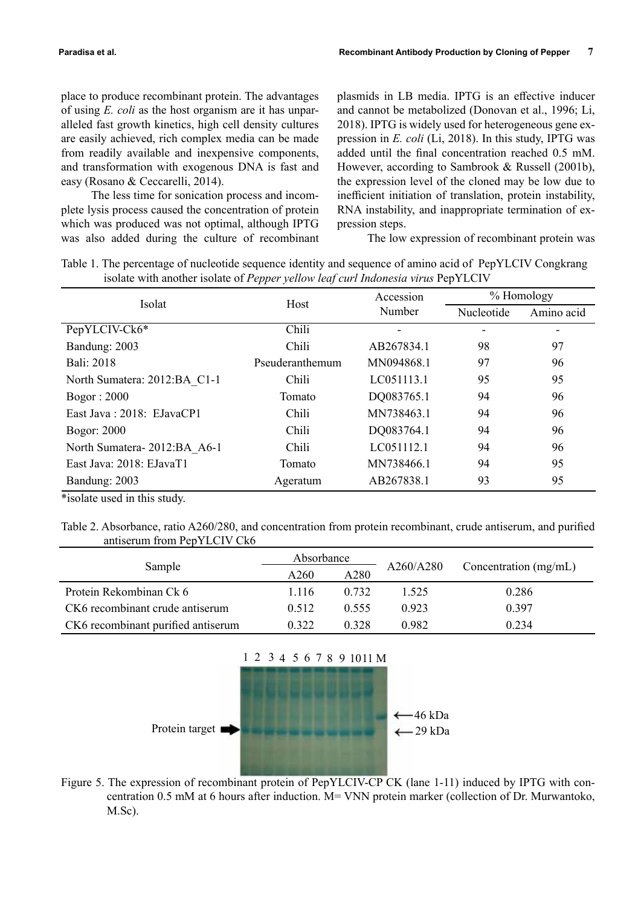place to produce recombinant protein. The advantages of using *E. coli* as the host organism are it has unparalleled fast growth kinetics, high cell density cultures are easily achieved, rich complex media can be made from readily available and inexpensive components, and transformation with exogenous DNA is fast and easy (Rosano & Ceccarelli, 2014).

The less time for sonication process and incomplete lysis process caused the concentration of protein which was produced was not optimal, although IPTG was also added during the culture of recombinant

plasmids in LB media. IPTG is an effective inducer and cannot be metabolized (Donovan et al., 1996; Li, 2018). IPTG is widely used for heterogeneous gene expression in *E. coli* (Li, 2018). In this study, IPTG was added until the final concentration reached 0.5 mM. However, according to Sambrook & Russell (2001b), the expression level of the cloned may be low due to inefficient initiation of translation, protein instability, RNA instability, and inappropriate termination of expression steps.

The low expression of recombinant protein was

Table 1. The percentage of nucleotide sequence identity and sequence of amino acid of PepYLCIV Congkrang isolate with another isolate of *Pepper yellow leaf curl Indonesia virus* PepYLCIV

| Isolat                       | Host            | Accession  | % Homology |            |
|------------------------------|-----------------|------------|------------|------------|
|                              |                 | Number     | Nucleotide | Amino acid |
| PepYLCIV-Ck6*                | Chili           |            |            |            |
| Bandung: 2003                | Chili           | AB267834.1 | 98         | 97         |
| Bali: 2018                   | Pseuderanthemum | MN094868.1 | 97         | 96         |
| North Sumatera: 2012:BA C1-1 | Chili           | LC051113.1 | 95         | 95         |
| Bogor: 2000                  | Tomato          | DQ083765.1 | 94         | 96         |
| East Java: 2018: EJavaCP1    | Chili           | MN738463.1 | 94         | 96         |
| <b>Bogor: 2000</b>           | Chili           | DQ083764.1 | 94         | 96         |
| North Sumatera-2012:BA A6-1  | Chili           | LC051112.1 | 94         | 96         |
| East Java: 2018: EJavaT1     | Tomato          | MN738466.1 | 94         | 95         |
| Bandung: 2003                | Ageratum        | AB267838.1 | 93         | 95         |

\*isolate used in this study.

Table 2. Absorbance, ratio A260/280, and concentration from protein recombinant, crude antiserum, and purified antiserum from PepYLCIV Ck6

|                                    | Absorbance |       |           |                         |  |
|------------------------------------|------------|-------|-----------|-------------------------|--|
| Sample                             | A260       | A280  | A260/A280 | Concentration $(mg/mL)$ |  |
| Protein Rekombinan Ck 6            | 1.116      | 0.732 | 1.525     | 0.286                   |  |
| CK6 recombinant crude antiserum    | 0.512      | 0.555 | 0.923     | 0.397                   |  |
| CK6 recombinant purified antiserum | 0.322      | 0.328 | 0.982     | 0.234                   |  |



Figure 5. The expression of recombinant protein of PepYLCIV-CP CK (lane 1-11) induced by IPTG with concentration 0.5 mM at 6 hours after induction. M= VNN protein marker (collection of Dr. Murwantoko, M.Sc).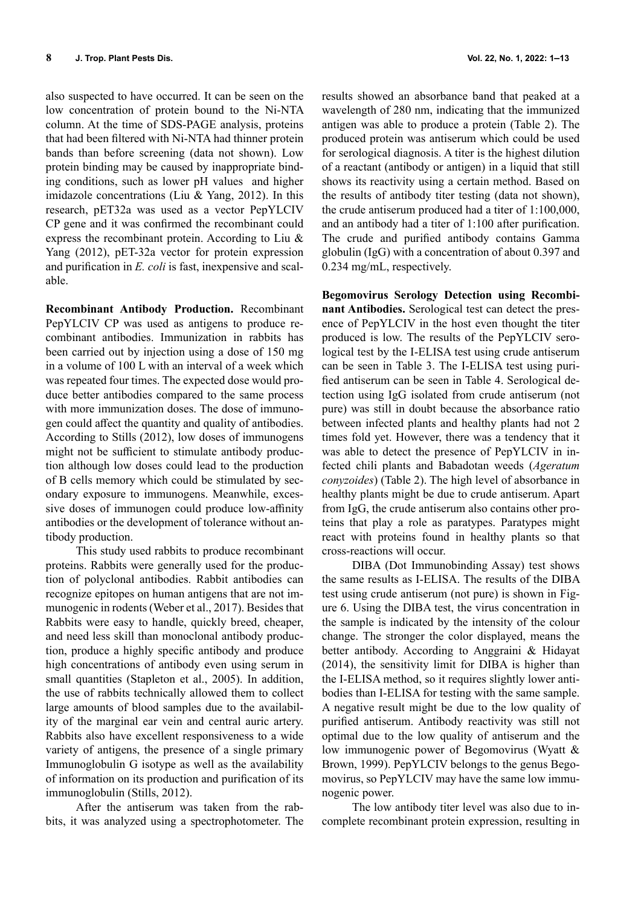also suspected to have occurred. It can be seen on the low concentration of protein bound to the Ni-NTA column. At the time of SDS-PAGE analysis, proteins that had been filtered with Ni-NTA had thinner protein bands than before screening (data not shown). Low protein binding may be caused by inappropriate binding conditions, such as lower pH values and higher imidazole concentrations (Liu & Yang, 2012). In this research, pET32a was used as a vector PepYLCIV CP gene and it was confirmed the recombinant could express the recombinant protein. According to Liu & Yang (2012), pET-32a vector for protein expression and purification in *E. coli* is fast, inexpensive and scalable.

**Recombinant Antibody Production.** Recombinant PepYLCIV CP was used as antigens to produce recombinant antibodies. Immunization in rabbits has been carried out by injection using a dose of 150 mg in a volume of 100 L with an interval of a week which was repeated four times. The expected dose would produce better antibodies compared to the same process with more immunization doses. The dose of immunogen could affect the quantity and quality of antibodies. According to Stills (2012), low doses of immunogens might not be sufficient to stimulate antibody production although low doses could lead to the production of B cells memory which could be stimulated by secondary exposure to immunogens. Meanwhile, excessive doses of immunogen could produce low-affinity antibodies or the development of tolerance without antibody production.

This study used rabbits to produce recombinant proteins. Rabbits were generally used for the production of polyclonal antibodies. Rabbit antibodies can recognize epitopes on human antigens that are not immunogenic in rodents (Weber et al., 2017). Besides that Rabbits were easy to handle, quickly breed, cheaper, and need less skill than monoclonal antibody production, produce a highly specific antibody and produce high concentrations of antibody even using serum in small quantities (Stapleton et al., 2005). In addition, the use of rabbits technically allowed them to collect large amounts of blood samples due to the availability of the marginal ear vein and central auric artery. Rabbits also have excellent responsiveness to a wide variety of antigens, the presence of a single primary Immunoglobulin G isotype as well as the availability of information on its production and purification of its immunoglobulin (Stills, 2012).

After the antiserum was taken from the rabbits, it was analyzed using a spectrophotometer. The results showed an absorbance band that peaked at a wavelength of 280 nm, indicating that the immunized antigen was able to produce a protein (Table 2). The produced protein was antiserum which could be used for serological diagnosis. A titer is the highest dilution of a reactant (antibody or antigen) in a liquid that still shows its reactivity using a certain method. Based on the results of antibody titer testing (data not shown), the crude antiserum produced had a titer of 1:100,000, and an antibody had a titer of 1:100 after purification. The crude and purified antibody contains Gamma globulin (IgG) with a concentration of about 0.397 and 0.234 mg/mL, respectively.

**Begomovirus Serology Detection using Recombinant Antibodies.** Serological test can detect the presence of PepYLCIV in the host even thought the titer produced is low. The results of the PepYLCIV serological test by the I-ELISA test using crude antiserum can be seen in Table 3. The I-ELISA test using purified antiserum can be seen in Table 4. Serological detection using IgG isolated from crude antiserum (not pure) was still in doubt because the absorbance ratio between infected plants and healthy plants had not 2 times fold yet. However, there was a tendency that it was able to detect the presence of PepYLCIV in infected chili plants and Babadotan weeds (*Ageratum conyzoides*) (Table 2). The high level of absorbance in healthy plants might be due to crude antiserum. Apart from IgG, the crude antiserum also contains other proteins that play a role as paratypes. Paratypes might react with proteins found in healthy plants so that cross-reactions will occur.

DIBA (Dot Immunobinding Assay) test shows the same results as I-ELISA. The results of the DIBA test using crude antiserum (not pure) is shown in Figure 6. Using the DIBA test, the virus concentration in the sample is indicated by the intensity of the colour change. The stronger the color displayed, means the better antibody. According to Anggraini & Hidayat (2014), the sensitivity limit for DIBA is higher than the I-ELISA method, so it requires slightly lower antibodies than I-ELISA for testing with the same sample. A negative result might be due to the low quality of purified antiserum. Antibody reactivity was still not optimal due to the low quality of antiserum and the low immunogenic power of Begomovirus (Wyatt & Brown, 1999). PepYLCIV belongs to the genus Begomovirus, so PepYLCIV may have the same low immunogenic power.

The low antibody titer level was also due to incomplete recombinant protein expression, resulting in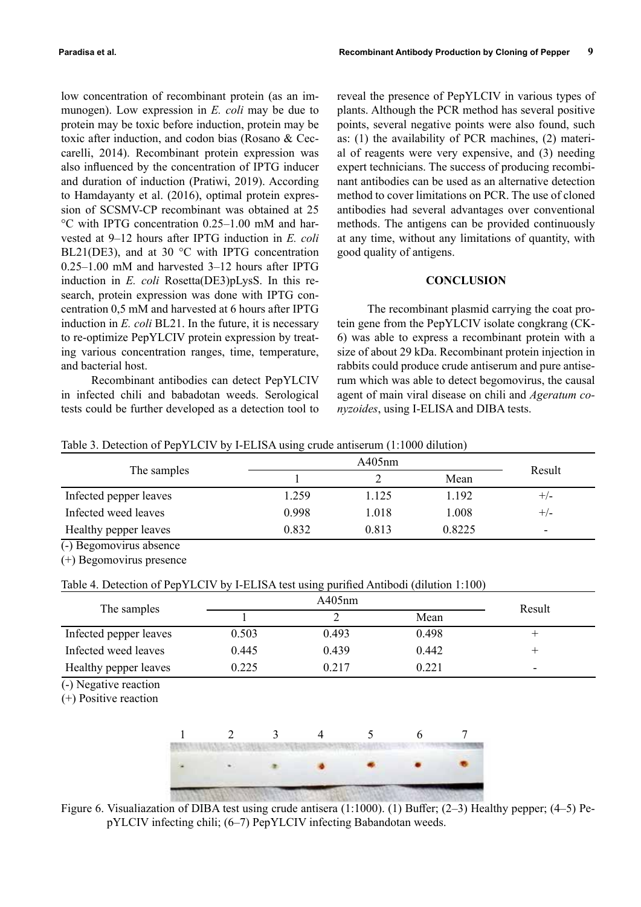low concentration of recombinant protein (as an immunogen). Low expression in *E. coli* may be due to protein may be toxic before induction, protein may be toxic after induction, and codon bias (Rosano & Ceccarelli, 2014). Recombinant protein expression was also influenced by the concentration of IPTG inducer and duration of induction (Pratiwi, 2019). According to Hamdayanty et al. (2016), optimal protein expression of SCSMV-CP recombinant was obtained at 25 °C with IPTG concentration 0.25–1.00 mM and harvested at 9–12 hours after IPTG induction in *E. coli* BL21(DE3), and at 30 °C with IPTG concentration 0.25–1.00 mM and harvested 3–12 hours after IPTG induction in *E. coli* Rosetta(DE3)pLysS. In this research, protein expression was done with IPTG concentration 0,5 mM and harvested at 6 hours after IPTG induction in *E. coli* BL21. In the future, it is necessary to re-optimize PepYLCIV protein expression by treating various concentration ranges, time, temperature, and bacterial host.

Recombinant antibodies can detect PepYLCIV in infected chili and babadotan weeds. Serological tests could be further developed as a detection tool to

reveal the presence of PepYLCIV in various types of plants. Although the PCR method has several positive points, several negative points were also found, such as: (1) the availability of PCR machines, (2) material of reagents were very expensive, and (3) needing expert technicians. The success of producing recombinant antibodies can be used as an alternative detection method to cover limitations on PCR. The use of cloned antibodies had several advantages over conventional methods. The antigens can be provided continuously at any time, without any limitations of quantity, with good quality of antigens.

# **CONCLUSION**

The recombinant plasmid carrying the coat protein gene from the PepYLCIV isolate congkrang (CK-6) was able to express a recombinant protein with a size of about 29 kDa. Recombinant protein injection in rabbits could produce crude antiserum and pure antiserum which was able to detect begomovirus, the causal agent of main viral disease on chili and *Ageratum conyzoides*, using I-ELISA and DIBA tests.

| Table 3. Detection of PepYLCIV by I-ELISA using crude antiserum (1:1000 dilution) |  |  |  |
|-----------------------------------------------------------------------------------|--|--|--|
|-----------------------------------------------------------------------------------|--|--|--|

| The samples             |       | A405nm |        |                          |  |
|-------------------------|-------|--------|--------|--------------------------|--|
|                         |       |        | Mean   | Result                   |  |
| Infected pepper leaves  | 1.259 | 1.125  | 1.192  | $+/-$                    |  |
| Infected weed leaves    | 0.998 | 1.018  | 1.008  | $+/-$                    |  |
| Healthy pepper leaves   | 0.832 | 0.813  | 0.8225 | $\overline{\phantom{0}}$ |  |
| (-) Begomovirus absence |       |        |        |                          |  |

(+) Begomovirus presence

# Table 4. Detection of PepYLCIV by I-ELISA test using purified Antibodi (dilution 1:100)

| The samples            |       | Result |       |                          |
|------------------------|-------|--------|-------|--------------------------|
|                        |       |        | Mean  |                          |
| Infected pepper leaves | 0.503 | 0.493  | 0.498 |                          |
| Infected weed leaves   | 0.445 | 0.439  | 0.442 |                          |
| Healthy pepper leaves  | 0.225 | 0.217  | 0.221 | $\overline{\phantom{0}}$ |

(-) Negative reaction

(+) Positive reaction



Figure 6. Visualiazation of DIBA test using crude antisera (1:1000). (1) Buffer; (2–3) Healthy pepper; (4–5) PepYLCIV infecting chili; (6–7) PepYLCIV infecting Babandotan weeds.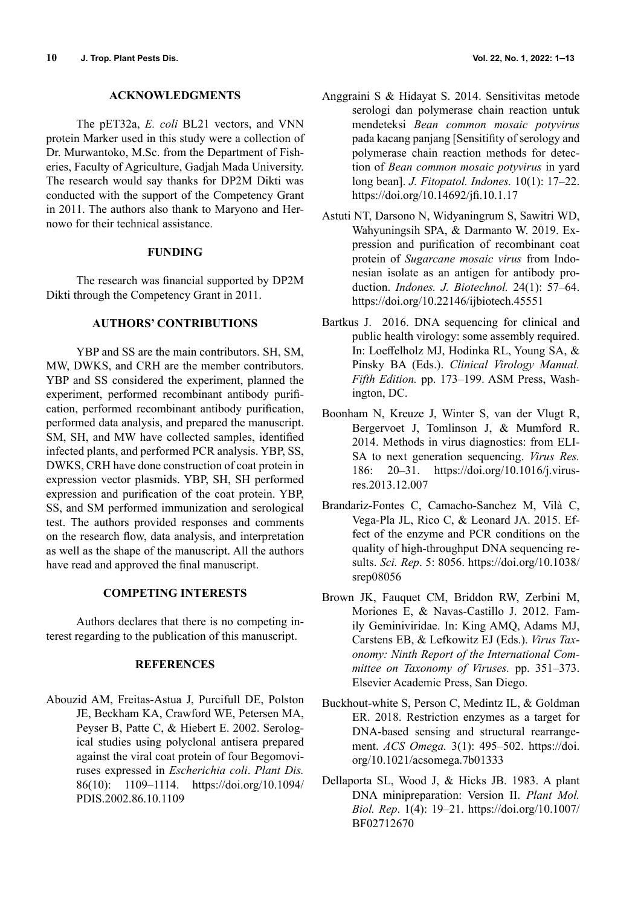#### **ACKNOWLEDGMENTS**

The pET32a, *E. coli* BL21 vectors, and VNN protein Marker used in this study were a collection of Dr. Murwantoko, M.Sc. from the Department of Fisheries, Faculty of Agriculture, Gadjah Mada University. The research would say thanks for DP2M Dikti was conducted with the support of the Competency Grant in 2011. The authors also thank to Maryono and Hernowo for their technical assistance.

### **FUNDING**

The research was financial supported by DP2M Dikti through the Competency Grant in 2011.

# **AUTHORS' CONTRIBUTIONS**

YBP and SS are the main contributors. SH, SM, MW, DWKS, and CRH are the member contributors. YBP and SS considered the experiment, planned the experiment, performed recombinant antibody purification, performed recombinant antibody purification, performed data analysis, and prepared the manuscript. SM, SH, and MW have collected samples, identified infected plants, and performed PCR analysis. YBP, SS, DWKS, CRH have done construction of coat protein in expression vector plasmids. YBP, SH, SH performed expression and purification of the coat protein. YBP, SS, and SM performed immunization and serological test. The authors provided responses and comments on the research flow, data analysis, and interpretation as well as the shape of the manuscript. All the authors have read and approved the final manuscript.

# **COMPETING INTERESTS**

Authors declares that there is no competing interest regarding to the publication of this manuscript.

### **REFERENCES**

Abouzid AM, Freitas-Astua J, Purcifull DE, Polston JE, Beckham KA, Crawford WE, Petersen MA, Peyser B, Patte C, & Hiebert E. 2002. Serological studies using polyclonal antisera prepared against the viral coat protein of four Begomoviruses expressed in *Escherichia coli*. *Plant Dis.* 86(10): 1109–1114. https://doi.org/10.1094/ PDIS.2002.86.10.1109

- Anggraini S & Hidayat S. 2014. Sensitivitas metode serologi dan polymerase chain reaction untuk mendeteksi *Bean common mosaic potyvirus* pada kacang panjang [Sensitifity of serology and polymerase chain reaction methods for detection of *Bean common mosaic potyvirus* in yard long bean]. *J. Fitopatol. Indones.* 10(1): 17–22. https://doi.org/10.14692/jfi.10.1.17
- Astuti NT, Darsono N, Widyaningrum S, Sawitri WD, Wahyuningsih SPA, & Darmanto W. 2019. Expression and purification of recombinant coat protein of *Sugarcane mosaic virus* from Indonesian isolate as an antigen for antibody production. *Indones. J. Biotechnol.* 24(1): 57–64. https://doi.org/10.22146/ijbiotech.45551
- Bartkus J. 2016. DNA sequencing for clinical and public health virology: some assembly required. In: Loeffelholz MJ, Hodinka RL, Young SA, & Pinsky BA (Eds.). *Clinical Virology Manual. Fifth Edition.* pp. 173–199. ASM Press, Washington, DC.
- Boonham N, Kreuze J, Winter S, van der Vlugt R, Bergervoet J, Tomlinson J, & Mumford R. 2014. Methods in virus diagnostics: from ELI-SA to next generation sequencing. *Virus Res.* 186: 20–31. https://doi.org/10.1016/j.virusres.2013.12.007
- Brandariz-Fontes C, Camacho-Sanchez M, Vilà C, Vega-Pla JL, Rico C, & Leonard JA. 2015. Effect of the enzyme and PCR conditions on the quality of high-throughput DNA sequencing results. *Sci. Rep*. 5: 8056. https://doi.org/10.1038/ srep08056
- Brown JK, Fauquet CM, Briddon RW, Zerbini M, Moriones E, & Navas-Castillo J. 2012. Family Geminiviridae. In: King AMQ, Adams MJ, Carstens EB, & Lefkowitz EJ (Eds.). *Virus Taxonomy: Ninth Report of the International Committee on Taxonomy of Viruses.* pp. 351–373. Elsevier Academic Press, San Diego.
- Buckhout-white S, Person C, Medintz IL, & Goldman ER. 2018. Restriction enzymes as a target for DNA-based sensing and structural rearrangement. *ACS Omega.* 3(1): 495–502. https://doi. org/10.1021/acsomega.7b01333
- Dellaporta SL, Wood J, & Hicks JB. 1983. A plant DNA minipreparation: Version II. *Plant Mol. Biol. Rep*. 1(4): 19–21. https://doi.org/10.1007/ BF02712670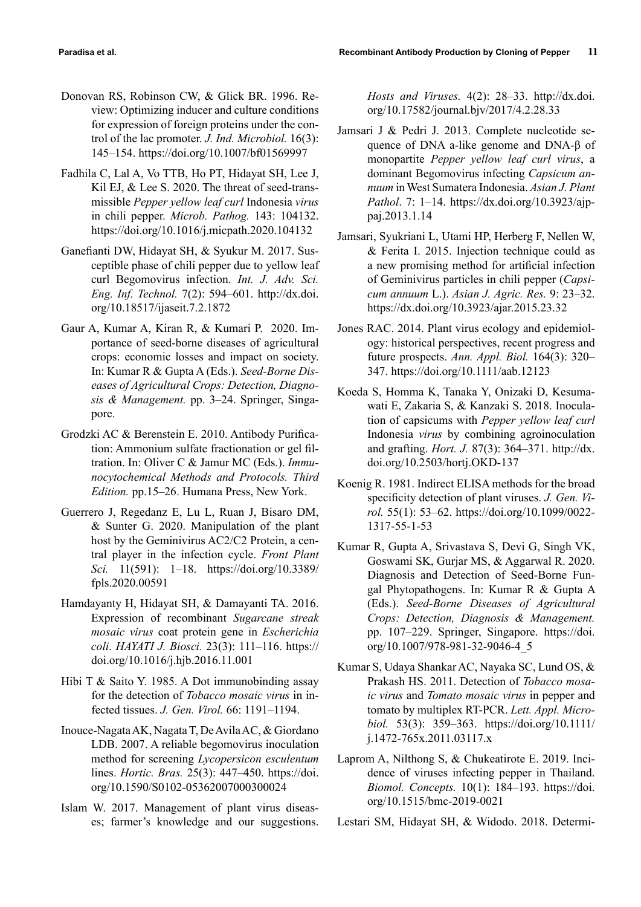- Donovan RS, Robinson CW, & Glick BR. 1996. Review: Optimizing inducer and culture conditions for expression of foreign proteins under the control of the lac promoter. *J. Ind. Microbiol.* 16(3): 145–154. https://doi.org/10.1007/bf01569997
- Fadhila C, Lal A, Vo TTB, Ho PT, Hidayat SH, Lee J, Kil EJ, & Lee S. 2020. The threat of seed-transmissible *Pepper yellow leaf curl* Indonesia *virus* in chili pepper. *Microb. Pathog.* 143: 104132. https://doi.org/10.1016/j.micpath.2020.104132
- Ganefianti DW, Hidayat SH, & Syukur M. 2017. Susceptible phase of chili pepper due to yellow leaf curl Begomovirus infection. *Int. J. Adv. Sci. Eng. Inf. Technol.* 7(2): 594–601. http://dx.doi. org/10.18517/ijaseit.7.2.1872
- Gaur A, Kumar A, Kiran R, & Kumari P. 2020. Importance of seed-borne diseases of agricultural crops: economic losses and impact on society. In: Kumar R & Gupta A (Eds.). *Seed-Borne Diseases of Agricultural Crops: Detection, Diagnosis & Management.* pp. 3–24. Springer, Singapore.
- Grodzki AC & Berenstein E. 2010. Antibody Purification: Ammonium sulfate fractionation or gel filtration. In: Oliver C & Jamur MC (Eds.). *Immunocytochemical Methods and Protocols. Third Edition.* pp.15–26. Humana Press, New York.
- Guerrero J, Regedanz E, Lu L, Ruan J, Bisaro DM, & Sunter G. 2020. Manipulation of the plant host by the Geminivirus AC2/C2 Protein, a central player in the infection cycle. *Front Plant Sci.* 11(591): 1–18. https://doi.org/10.3389/ fpls.2020.00591
- Hamdayanty H, Hidayat SH, & Damayanti TA. 2016. Expression of recombinant *Sugarcane streak mosaic virus* coat protein gene in *Escherichia coli*. *HAYATI J. Biosci.* 23(3): 111–116. https:// doi.org/10.1016/j.hjb.2016.11.001
- Hibi T & Saito Y. 1985. A Dot immunobinding assay for the detection of *Tobacco mosaic virus* in infected tissues. *J. Gen. Virol.* 66: 1191–1194.
- Inouce-Nagata AK, Nagata T, De Avila AC, & Giordano LDB. 2007. A reliable begomovirus inoculation method for screening *Lycopersicon esculentum* lines. *Hortic. Bras.* 25(3): 447–450. https://doi. org/10.1590/S0102-05362007000300024
- Islam W. 2017. Management of plant virus diseases; farmer's knowledge and our suggestions.

*Hosts and Viruses.* 4(2): 28–33. http://dx.doi. org/10.17582/journal.bjv/2017/4.2.28.33

- Jamsari J & Pedri J. 2013. Complete nucleotide sequence of DNA a-like genome and DNA-β of monopartite *Pepper yellow leaf curl virus*, a dominant Begomovirus infecting *Capsicum annuum* in West Sumatera Indonesia. *Asian J. Plant Pathol*. 7: 1–14. https://dx.doi.org/10.3923/ajppaj.2013.1.14
- Jamsari, Syukriani L, Utami HP, Herberg F, Nellen W, & Ferita I. 2015. Injection technique could as a new promising method for artificial infection of Geminivirus particles in chili pepper (*Capsicum annuum* L.). *Asian J. Agric. Res.* 9: 23–32. https://dx.doi.org/10.3923/ajar.2015.23.32
- Jones RAC. 2014. Plant virus ecology and epidemiology: historical perspectives, recent progress and future prospects. *Ann. Appl. Biol.* 164(3): 320– 347. https://doi.org/10.1111/aab.12123
- Koeda S, Homma K, Tanaka Y, Onizaki D, Kesumawati E, Zakaria S, & Kanzaki S. 2018. Inoculation of capsicums with *Pepper yellow leaf curl*  Indonesia *virus* by combining agroinoculation and grafting. *Hort. J.* 87(3): 364–371. http://dx. doi.org/10.2503/hortj.OKD-137
- Koenig R. 1981. Indirect ELISA methods for the broad specificity detection of plant viruses. *J. Gen. Virol.* 55(1): 53–62. https://doi.org/10.1099/0022- 1317-55-1-53
- Kumar R, Gupta A, Srivastava S, Devi G, Singh VK, Goswami SK, Gurjar MS, & Aggarwal R. 2020. Diagnosis and Detection of Seed-Borne Fungal Phytopathogens. In: Kumar R & Gupta A (Eds.). *Seed-Borne Diseases of Agricultural Crops: Detection, Diagnosis & Management.* pp. 107–229. Springer, Singapore. https://doi. org/10.1007/978-981-32-9046-4\_5
- Kumar S, Udaya Shankar AC, Nayaka SC, Lund OS, & Prakash HS. 2011. Detection of *Tobacco mosaic virus* and *Tomato mosaic virus* in pepper and tomato by multiplex RT-PCR. *Lett. Appl. Microbiol.* 53(3): 359–363. https://doi.org/10.1111/ j.1472-765x.2011.03117.x
- Laprom A, Nilthong S, & Chukeatirote E. 2019. Incidence of viruses infecting pepper in Thailand. *Biomol. Concepts.* 10(1): 184–193. https://doi. org/10.1515/bmc-2019-0021

Lestari SM, Hidayat SH, & Widodo. 2018. Determi-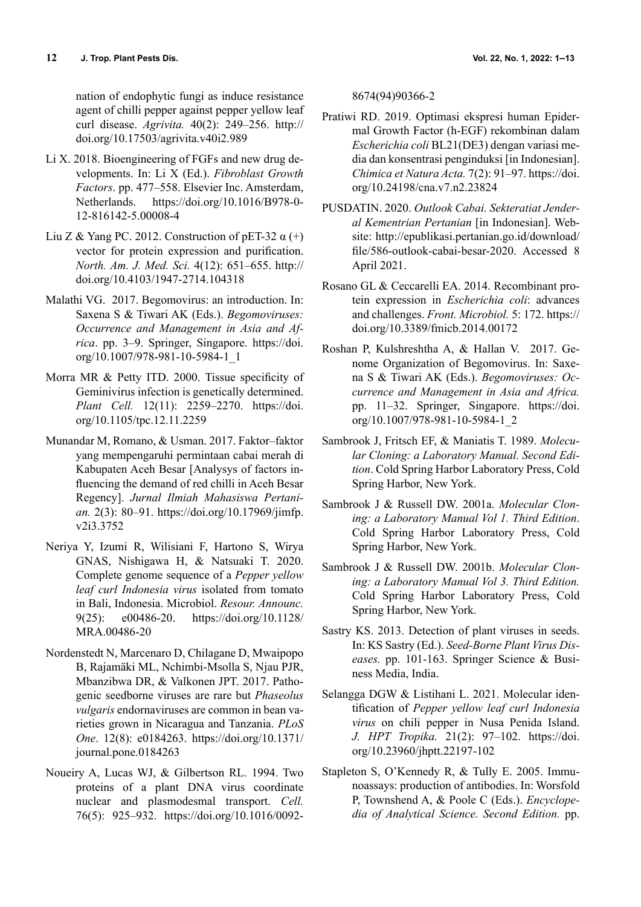nation of endophytic fungi as induce resistance agent of chilli pepper against pepper yellow leaf curl disease. *Agrivita.* 40(2): 249–256. http:// doi.org/10.17503/agrivita.v40i2.989

- Li X. 2018. Bioengineering of FGFs and new drug developments. In: Li X (Ed.). *Fibroblast Growth Factors*. pp. 477–558. Elsevier Inc. Amsterdam, Netherlands. https://doi.org/10.1016/B978-0- 12-816142-5.00008-4
- Liu Z & Yang PC. 2012. Construction of pET-32  $\alpha$  (+) vector for protein expression and purification. *North. Am. J. Med. Sci.* 4(12): 651–655. http:// doi.org/10.4103/1947-2714.104318
- Malathi VG. 2017. Begomovirus: an introduction. In: Saxena S & Tiwari AK (Eds.). *Begomoviruses: Occurrence and Management in Asia and Africa*. pp. 3–9. Springer, Singapore. https://doi. org/10.1007/978-981-10-5984-1\_1
- Morra MR & Petty ITD. 2000. Tissue specificity of Geminivirus infection is genetically determined. *Plant Cell.* 12(11): 2259–2270. https://doi. org/10.1105/tpc.12.11.2259
- Munandar M, Romano, & Usman. 2017. Faktor–faktor yang mempengaruhi permintaan cabai merah di Kabupaten Aceh Besar [Analysys of factors influencing the demand of red chilli in Aceh Besar Regency]. *Jurnal Ilmiah Mahasiswa Pertanian.* 2(3): 80–91. https://doi.org/10.17969/jimfp. v2i3.3752
- Neriya Y, Izumi R, Wilisiani F, Hartono S, Wirya GNAS, Nishigawa H, & Natsuaki T. 2020. Complete genome sequence of a *Pepper yellow leaf curl Indonesia virus* isolated from tomato in Bali, Indonesia. Microbiol. *Resour. Announc.* 9(25): e00486-20. https://doi.org/10.1128/ MRA.00486-20
- Nordenstedt N, Marcenaro D, Chilagane D, Mwaipopo B, Rajamäki ML, Nchimbi-Msolla S, Njau PJR, Mbanzibwa DR, & Valkonen JPT. 2017. Pathogenic seedborne viruses are rare but *Phaseolus vulgaris* endornaviruses are common in bean varieties grown in Nicaragua and Tanzania. *PLoS One*. 12(8): e0184263. https://doi.org/10.1371/ journal.pone.0184263
- Noueiry A, Lucas WJ, & Gilbertson RL. 1994. Two proteins of a plant DNA virus coordinate nuclear and plasmodesmal transport. *Cell.* 76(5): 925–932. https://doi.org/10.1016/0092-

8674(94)90366-2

- Pratiwi RD. 2019. Optimasi ekspresi human Epidermal Growth Factor (h-EGF) rekombinan dalam *Escherichia coli* BL21(DE3) dengan variasi media dan konsentrasi penginduksi [in Indonesian]. *Chimica et Natura Acta.* 7(2): 91–97. https://doi. org/10.24198/cna.v7.n2.23824
- PUSDATIN. 2020. *Outlook Cabai. Sekteratiat Jenderal Kementrian Pertanian* [in Indonesian]. Website: http://epublikasi.pertanian.go.id/download/ file/586-outlook-cabai-besar-2020. Accessed 8 April 2021.
- Rosano GL & Ceccarelli EA. 2014. Recombinant protein expression in *Escherichia coli*: advances and challenges. *Front. Microbiol.* 5: 172. https:// doi.org/10.3389/fmicb.2014.00172
- Roshan P, Kulshreshtha A, & Hallan V. 2017. Genome Organization of Begomovirus. In: Saxena S & Tiwari AK (Eds.). *Begomoviruses: Occurrence and Management in Asia and Africa.* pp. 11–32. Springer, Singapore. https://doi. org/10.1007/978-981-10-5984-1\_2
- Sambrook J, Fritsch EF, & Maniatis T. 1989. *Molecular Cloning: a Laboratory Manual. Second Edition*. Cold Spring Harbor Laboratory Press, Cold Spring Harbor, New York.
- Sambrook J & Russell DW. 2001a. *Molecular Cloning: a Laboratory Manual Vol 1. Third Edition*. Cold Spring Harbor Laboratory Press, Cold Spring Harbor, New York.
- Sambrook J & Russell DW. 2001b. *Molecular Cloning: a Laboratory Manual Vol 3. Third Edition.* Cold Spring Harbor Laboratory Press, Cold Spring Harbor, New York.
- Sastry KS. 2013. Detection of plant viruses in seeds. In: KS Sastry (Ed.). *Seed-Borne Plant Virus Diseases.* pp. 101-163. Springer Science & Business Media, India.
- Selangga DGW & Listihani L. 2021. Molecular identification of *Pepper yellow leaf curl Indonesia virus* on chili pepper in Nusa Penida Island. *J. HPT Tropika.* 21(2): 97–102. https://doi. org/10.23960/jhptt.22197-102
- Stapleton S, O'Kennedy R, & Tully E. 2005. Immunoassays: production of antibodies. In: Worsfold P, Townshend A, & Poole C (Eds.). *Encyclopedia of Analytical Science. Second Edition.* pp.